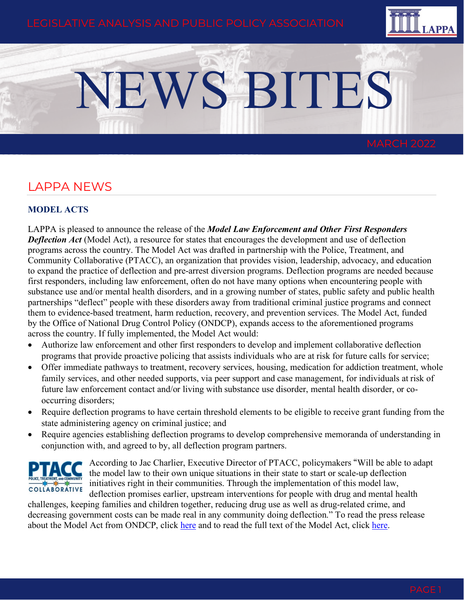

# NEWS BITES

# LAPPA NEWS

### **MODEL ACTS**

LAPPA is pleased to announce the release of the *Model Law Enforcement and Other First Responders*  **Deflection Act** (Model Act), a resource for states that encourages the development and use of deflection programs across the country. The Model Act was drafted in partnership with the Police, Treatment, and Community Collaborative (PTACC), an organization that provides vision, leadership, advocacy, and education to expand the practice of deflection and pre-arrest diversion programs. Deflection programs are needed because first responders, including law enforcement, often do not have many options when encountering people with substance use and/or mental health disorders, and in a growing number of states, public safety and public health partnerships "deflect" people with these disorders away from traditional criminal justice programs and connect them to evidence-based treatment, harm reduction, recovery, and prevention services. The Model Act, funded by the Office of National Drug Control Policy (ONDCP), expands access to the aforementioned programs across the country. If fully implemented, the Model Act would:

- Authorize law enforcement and other first responders to develop and implement collaborative deflection programs that provide proactive policing that assists individuals who are at risk for future calls for service;
- Offer immediate pathways to treatment, recovery services, housing, medication for addiction treatment, whole family services, and other needed supports, via peer support and case management, for individuals at risk of future law enforcement contact and/or living with substance use disorder, mental health disorder, or cooccurring disorders;
- Require deflection programs to have certain threshold elements to be eligible to receive grant funding from the state administering agency on criminal justice; and
- Require agencies establishing deflection programs to develop comprehensive memoranda of understanding in conjunction with, and agreed to by, all deflection program partners.



According to Jac Charlier, Executive Director of PTACC, policymakers "Will be able to adapt the model law to their own unique situations in their state to start or scale-up deflection initiatives right in their communities. Through the implementation of this model law, deflection promises earlier, upstream interventions for people with drug and mental health

challenges, keeping families and children together, reducing drug use as well as drug-related crime, and decreasing government costs can be made real in any community doing deflection." To read the press release about the Model Act from ONDCP, click [here](https://www.whitehouse.gov/ondcp/briefing-room/2022/03/03/white-house-announces-state-model-law-to-expand-programs-that-deflect-people-with-addiction-to-care/) and to read the full text of the Model Act, click [here.](https://legislativeanalysis.org/model-law-enforcement-and-other-first-responder-deflection-act/)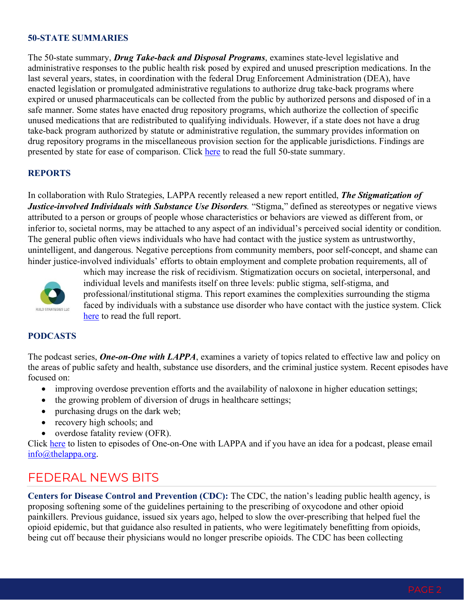#### **50-STATE SUMMARIES**

The 50-state summary, *Drug Take-back and Disposal Programs*, examines state-level legislative and administrative responses to the public health risk posed by expired and unused prescription medications. In the last several years, states, in coordination with the federal Drug Enforcement Administration (DEA), have enacted legislation or promulgated administrative regulations to authorize drug take-back programs where expired or unused pharmaceuticals can be collected from the public by authorized persons and disposed of in a safe manner. Some states have enacted drug repository programs, which authorize the collection of specific unused medications that are redistributed to qualifying individuals. However, if a state does not have a drug take-back program authorized by statute or administrative regulation, the summary provides information on drug repository programs in the miscellaneous provision section for the applicable jurisdictions. Findings are presented by state for ease of comparison. Click [here](https://legislativeanalysis.org/drug-take-back-and-disposal-laws-summary-of-state-laws/) to read the full 50-state summary.

#### **REPORTS**

In collaboration with Rulo Strategies, LAPPA recently released a new report entitled, *The Stigmatization of Justice-involved Individuals with Substance Use Disorders.* "Stigma," defined as stereotypes or negative views attributed to a person or groups of people whose characteristics or behaviors are viewed as different from, or inferior to, societal norms, may be attached to any aspect of an individual's perceived social identity or condition. The general public often views individuals who have had contact with the justice system as untrustworthy, unintelligent, and dangerous. Negative perceptions from community members, poor self-concept, and shame can hinder justice-involved individuals' efforts to obtain employment and complete probation requirements, all of



which may increase the risk of recidivism. Stigmatization occurs on societal, interpersonal, and individual levels and manifests itself on three levels: public stigma, self-stigma, and professional/institutional stigma. This report examines the complexities surrounding the stigma faced by individuals with a substance use disorder who have contact with the justice system. Click [here](https://legislativeanalysis.org/the-stigmatization-of-justice-involved-individuals-with-substance-use-disorders-2/) to read the full report.

#### **PODCASTS**

The podcast series, *One-on-One with LAPPA*, examines a variety of topics related to effective law and policy on the areas of public safety and health, substance use disorders, and the criminal justice system. Recent episodes have focused on:

- improving overdose prevention efforts and the availability of naloxone in higher education settings;
- the growing problem of diversion of drugs in healthcare settings;
- purchasing drugs on the dark web;
- recovery high schools; and
- overdose fatality review (OFR).

Click [here](https://legislativeanalysis.org/media-gallery/) to listen to episodes of One-on-One with LAPPA and if you have an idea for a podcast, please email [info@thelappa.org.](mailto:info@thelappa.org)

# FEDERAL NEWS BITS

**Centers for Disease Control and Prevention (CDC):** The CDC, the nation's leading public health agency, is proposing softening some of the guidelines pertaining to the prescribing of oxycodone and other opioid painkillers. Previous guidance, issued six years ago, helped to slow the over-prescribing that helped fuel the opioid epidemic, but that guidance also resulted in patients, who were legitimately benefitting from opioids, being cut off because their physicians would no longer prescribe opioids. The CDC has been collecting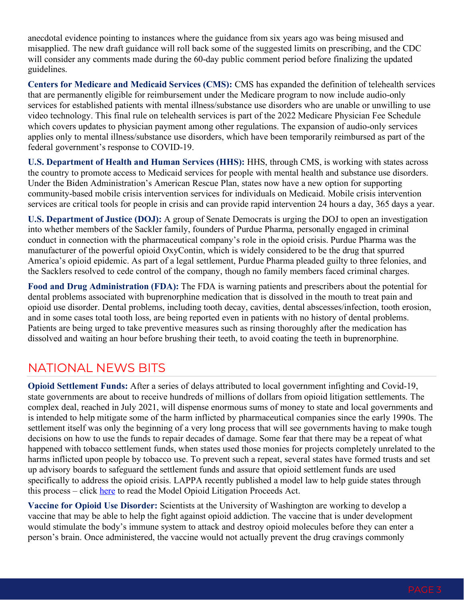anecdotal evidence pointing to instances where the guidance from six years ago was being misused and misapplied. The new draft guidance will roll back some of the suggested limits on prescribing, and the CDC will consider any comments made during the 60-day public comment period before finalizing the updated guidelines.

**Centers for Medicare and Medicaid Services (CMS):** CMS has expanded the definition of telehealth services that are permanently eligible for reimbursement under the Medicare program to now include audio-only services for established patients with mental illness/substance use disorders who are unable or unwilling to use video technology. This final rule on telehealth services is part of the 2022 Medicare Physician Fee Schedule which covers updates to physician payment among other regulations. The expansion of audio-only services applies only to mental illness/substance use disorders, which have been temporarily reimbursed as part of the federal government's response to COVID-19.

**U.S. Department of Health and Human Services (HHS):** HHS, through CMS, is working with states across the country to promote access to Medicaid services for people with mental health and substance use disorders. Under the Biden Administration's American Rescue Plan, states now have a new option for supporting community-based mobile crisis intervention services for individuals on Medicaid. Mobile crisis intervention services are critical tools for people in crisis and can provide rapid intervention 24 hours a day, 365 days a year.

**U.S. Department of Justice (DOJ):** A group of Senate Democrats is urging the DOJ to open an investigation into whether members of the Sackler family, founders of Purdue Pharma, personally engaged in criminal conduct in connection with the pharmaceutical company's role in the opioid crisis. Purdue Pharma was the manufacturer of the powerful opioid OxyContin, which is widely considered to be the drug that spurred America's opioid epidemic. As part of a legal settlement, Purdue Pharma pleaded guilty to three felonies, and the Sacklers resolved to cede control of the company, though no family members faced criminal charges.

**Food and Drug Administration (FDA):** The FDA is warning patients and prescribers about the potential for dental problems associated with buprenorphine medication that is dissolved in the mouth to treat pain and opioid use disorder. Dental problems, including tooth decay, cavities, dental abscesses/infection, tooth erosion, and in some cases total tooth loss, are being reported even in patients with no history of dental problems. Patients are being urged to take preventive measures such as rinsing thoroughly after the medication has dissolved and waiting an hour before brushing their teeth, to avoid coating the teeth in buprenorphine.

# NATIONAL NEWS BITS

**Opioid Settlement Funds:** After a series of delays attributed to local government infighting and Covid-19, state governments are about to receive hundreds of millions of dollars from opioid litigation settlements. The complex deal, reached in July 2021, will dispense enormous sums of money to state and local governments and is intended to help mitigate some of the harm inflicted by pharmaceutical companies since the early 1990s. The settlement itself was only the beginning of a very long process that will see governments having to make tough decisions on how to use the funds to repair decades of damage. Some fear that there may be a repeat of what happened with tobacco settlement funds, when states used those monies for projects completely unrelated to the harms inflicted upon people by tobacco use. To prevent such a repeat, several states have formed trusts and set up advisory boards to safeguard the settlement funds and assure that opioid settlement funds are used specifically to address the opioid crisis. LAPPA recently published a model law to help guide states through this process – click [here](https://legislativeanalysis.org/model-opioid-litigation-proceeds-act/) to read the Model Opioid Litigation Proceeds Act.

**Vaccine for Opioid Use Disorder:** Scientists at the University of Washington are working to develop a vaccine that may be able to help the fight against opioid addiction. The vaccine that is under development would stimulate the body's immune system to attack and destroy opioid molecules before they can enter a person's brain. Once administered, the vaccine would not actually prevent the drug cravings commonly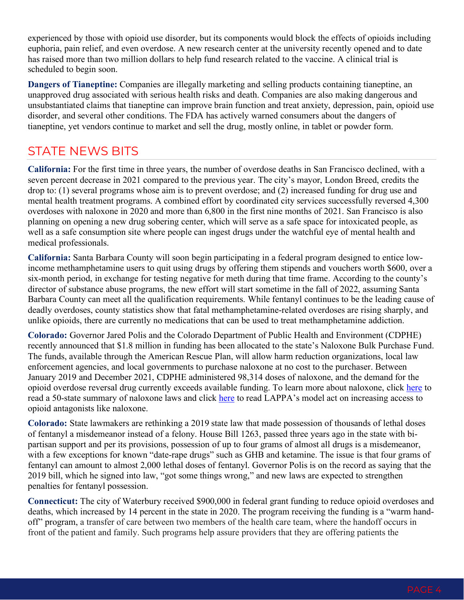experienced by those with opioid use disorder, but its components would block the effects of opioids including euphoria, pain relief, and even overdose. A new research center at the university recently opened and to date has raised more than two million dollars to help fund research related to the vaccine. A clinical trial is scheduled to begin soon.

**Dangers of Tianeptine:** Companies are illegally marketing and selling products containing tianeptine, an unapproved drug associated with serious health risks and death. Companies are also making dangerous and unsubstantiated claims that tianeptine can improve brain function and treat anxiety, depression, pain, opioid use disorder, and several other conditions. The FDA has actively warned consumers about the dangers of tianeptine, yet vendors continue to market and sell the drug, mostly online, in tablet or powder form.

# STATE NEWS BITS

**California:** For the first time in three years, the number of overdose deaths in San Francisco declined, with a seven percent decrease in 2021 compared to the previous year. The city's mayor, London Breed, credits the drop to: (1) several programs whose aim is to prevent overdose; and (2) increased funding for drug use and mental health treatment programs. A combined effort by coordinated city services successfully reversed 4,300 overdoses with naloxone in 2020 and more than 6,800 in the first nine months of 2021. San Francisco is also planning on opening a new drug sobering center, which will serve as a safe space for intoxicated people, as well as a safe consumption site where people can ingest drugs under the watchful eye of mental health and medical professionals.

**California:** Santa Barbara County will soon begin participating in a federal program designed to entice lowincome methamphetamine users to quit using drugs by offering them stipends and vouchers worth \$600, over a six-month period, in exchange for testing negative for meth during that time frame. According to the county's director of substance abuse programs, the new effort will start sometime in the fall of 2022, assuming Santa Barbara County can meet all the qualification requirements. While fentanyl continues to be the leading cause of deadly overdoses, county statistics show that fatal methamphetamine-related overdoses are rising sharply, and unlike opioids, there are currently no medications that can be used to treat methamphetamine addiction.

**Colorado:** Governor Jared Polis and the Colorado Department of Public Health and Environment (CDPHE) recently announced that \$1.8 million in funding has been allocated to the state's Naloxone Bulk Purchase Fund. The funds, available through the American Rescue Plan, will allow harm reduction organizations, local law enforcement agencies, and local governments to purchase naloxone at no cost to the purchaser. Between January 2019 and December 2021, CDPHE administered 98,314 doses of naloxone, and the demand for the opioid overdose reversal drug currently exceeds available funding. To learn more about naloxone, click [here](https://legislativeanalysis.org/naloxone-summary-of-state-laws/) to read a 50-state summary of naloxone laws and click [here](https://legislativeanalysis.org/model-expanded-access-to-emergency-opioid-antagonists-act/) to read LAPPA's model act on increasing access to opioid antagonists like naloxone.

**Colorado:** State lawmakers are rethinking a 2019 state law that made possession of thousands of lethal doses of fentanyl a misdemeanor instead of a felony. House Bill 1263, passed three years ago in the state with bipartisan support and per its provisions, possession of up to four grams of almost all drugs is a misdemeanor, with a few exceptions for known "date-rape drugs" such as GHB and ketamine. The issue is that four grams of fentanyl can amount to almost 2,000 lethal doses of fentanyl. Governor Polis is on the record as saying that the 2019 bill, which he signed into law, "got some things wrong," and new laws are expected to strengthen penalties for fentanyl possession.

**Connecticut:** The city of Waterbury received \$900,000 in federal grant funding to reduce opioid overdoses and deaths, which increased by 14 percent in the state in 2020. The program receiving the funding is a "warm handoff" program, a transfer of care between two members of the health care team, where the handoff occurs in front of the patient and family. Such programs help assure providers that they are offering patients the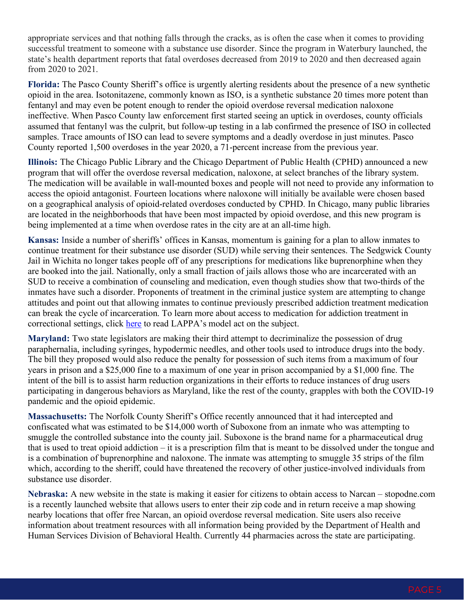appropriate services and that nothing falls through the cracks, as is often the case when it comes to providing successful treatment to someone with a substance use disorder. Since the program in Waterbury launched, the state's health department reports that fatal overdoses decreased from 2019 to 2020 and then decreased again from 2020 to 2021.

**Florida:** The Pasco County Sheriff's office is urgently alerting residents about the presence of a new synthetic opioid in the area. Isotonitazene, commonly known as ISO, is a synthetic substance 20 times more potent than fentanyl and may even be potent enough to render the opioid overdose reversal medication naloxone ineffective. When Pasco County law enforcement first started seeing an uptick in overdoses, county officials assumed that fentanyl was the culprit, but follow-up testing in a lab confirmed the presence of ISO in collected samples. Trace amounts of ISO can lead to severe symptoms and a deadly overdose in just minutes. Pasco County reported 1,500 overdoses in the year 2020, a 71-percent increase from the previous year.

**Illinois:** The Chicago Public Library and the Chicago Department of Public Health (CPHD) announced a new program that will offer the overdose reversal medication, naloxone, at select branches of the library system. The medication will be available in wall-mounted boxes and people will not need to provide any information to access the opioid antagonist. Fourteen locations where naloxone will initially be available were chosen based on a geographical analysis of opioid-related overdoses conducted by CPHD. In Chicago, many public libraries are located in the neighborhoods that have been most impacted by opioid overdose, and this new program is being implemented at a time when overdose rates in the city are at an all-time high.

**Kansas:** Inside a number of sheriffs' offices in Kansas, momentum is gaining for a plan to allow inmates to continue treatment for their substance use disorder (SUD) while serving their sentences. The Sedgwick County Jail in Wichita no longer takes people off of any prescriptions for medications like buprenorphine when they are booked into the jail. Nationally, only a small fraction of jails allows those who are incarcerated with an SUD to receive a combination of counseling and medication, even though studies show that two-thirds of the inmates have such a disorder. Proponents of treatment in the criminal justice system are attempting to change attitudes and point out that allowing inmates to continue previously prescribed addiction treatment medication can break the cycle of incarceration. To learn more about access to medication for addiction treatment in correctional settings, click [here](https://legislativeanalysis.org/model-access-to-medication-for-addiction-treatment-in-correctional-settings-act/) to read LAPPA's model act on the subject.

**Maryland:** Two state legislators are making their third attempt to decriminalize the possession of drug paraphernalia, including syringes, hypodermic needles, and other tools used to introduce drugs into the body. The bill they proposed would also reduce the penalty for possession of such items from a maximum of four years in prison and a \$25,000 fine to a maximum of one year in prison accompanied by a \$1,000 fine. The intent of the bill is to assist harm reduction organizations in their efforts to reduce instances of drug users participating in dangerous behaviors as Maryland, like the rest of the county, grapples with both the COVID-19 pandemic and the opioid epidemic.

**Massachusetts:** The Norfolk County Sheriff's Office recently announced that it had intercepted and confiscated what was estimated to be \$14,000 worth of Suboxone from an inmate who was attempting to smuggle the controlled substance into the county jail. Suboxone is the brand name for a pharmaceutical drug that is used to treat opioid addiction – it is a prescription film that is meant to be dissolved under the tongue and is a combination of buprenorphine and naloxone. The inmate was attempting to smuggle 35 strips of the film which, according to the sheriff, could have threatened the recovery of other justice-involved individuals from substance use disorder.

**Nebraska:** A new website in the state is making it easier for citizens to obtain access to Narcan – stopodne.com is a recently launched website that allows users to enter their zip code and in return receive a map showing nearby locations that offer free Narcan, an opioid overdose reversal medication. Site users also receive information about treatment resources with all information being provided by the Department of Health and Human Services Division of Behavioral Health. Currently 44 pharmacies across the state are participating.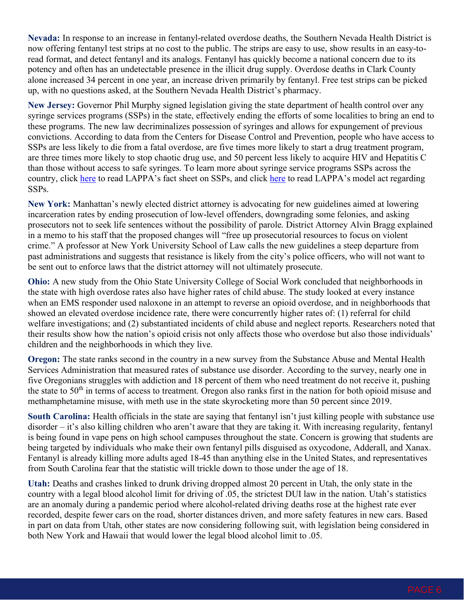**Nevada:** In response to an increase in fentanyl-related overdose deaths, the Southern Nevada Health District is now offering fentanyl test strips at no cost to the public. The strips are easy to use, show results in an easy-toread format, and detect fentanyl and its analogs. Fentanyl has quickly become a national concern due to its potency and often has an undetectable presence in the illicit drug supply. Overdose deaths in Clark County alone increased 34 percent in one year, an increase driven primarily by fentanyl. Free test strips can be picked up, with no questions asked, at the Southern Nevada Health District's pharmacy.

**New Jersey:** Governor Phil Murphy signed legislation giving the state department of health control over any syringe services programs (SSPs) in the state, effectively ending the efforts of some localities to bring an end to these programs. The new law decriminalizes possession of syringes and allows for expungement of previous convictions. According to data from the Centers for Disease Control and Prevention, people who have access to SSPs are less likely to die from a fatal overdose, are five times more likely to start a drug treatment program, are three times more likely to stop chaotic drug use, and 50 percent less likely to acquire HIV and Hepatitis C than those without access to safe syringes. To learn more about syringe service programs SSPs across the country, click [here](https://legislativeanalysis.org/model-syringe-services-program-act/) to read LAPPA's fact sheet on SSPs, and click here to read LAPPA's model act regarding SSPs.

**New York:** Manhattan's newly elected district attorney is advocating for new guidelines aimed at lowering incarceration rates by ending prosecution of low-level offenders, downgrading some felonies, and asking prosecutors not to seek life sentences without the possibility of parole. District Attorney Alvin Bragg explained in a memo to his staff that the proposed changes will "free up prosecutorial resources to focus on violent crime." A professor at New York University School of Law calls the new guidelines a steep departure from past administrations and suggests that resistance is likely from the city's police officers, who will not want to be sent out to enforce laws that the district attorney will not ultimately prosecute.

**Ohio:** A new study from the Ohio State University College of Social Work concluded that neighborhoods in the state with high overdose rates also have higher rates of child abuse. The study looked at every instance when an EMS responder used naloxone in an attempt to reverse an opioid overdose, and in neighborhoods that showed an elevated overdose incidence rate, there were concurrently higher rates of: (1) referral for child welfare investigations; and (2) substantiated incidents of child abuse and neglect reports. Researchers noted that their results show how the nation's opioid crisis not only affects those who overdose but also those individuals' children and the neighborhoods in which they live.

**Oregon:** The state ranks second in the country in a new survey from the Substance Abuse and Mental Health Services Administration that measured rates of substance use disorder. According to the survey, nearly one in five Oregonians struggles with addiction and 18 percent of them who need treatment do not receive it, pushing the state to  $50<sup>th</sup>$  in terms of access to treatment. Oregon also ranks first in the nation for both opioid misuse and methamphetamine misuse, with meth use in the state skyrocketing more than 50 percent since 2019.

**South Carolina:** Health officials in the state are saying that fentanyl isn't just killing people with substance use disorder – it's also killing children who aren't aware that they are taking it. With increasing regularity, fentanyl is being found in vape pens on high school campuses throughout the state. Concern is growing that students are being targeted by individuals who make their own fentanyl pills disguised as oxycodone, Adderall, and Xanax. Fentanyl is already killing more adults aged 18-45 than anything else in the United States, and representatives from South Carolina fear that the statistic will trickle down to those under the age of 18.

**Utah:** Deaths and crashes linked to drunk driving dropped almost 20 percent in Utah, the only state in the country with a legal blood alcohol limit for driving of .05, the strictest DUI law in the nation. Utah's statistics are an anomaly during a pandemic period where alcohol-related driving deaths rose at the highest rate ever recorded, despite fewer cars on the road, shorter distances driven, and more safety features in new cars. Based in part on data from Utah, other states are now considering following suit, with legislation being considered in both New York and Hawaii that would lower the legal blood alcohol limit to .05.